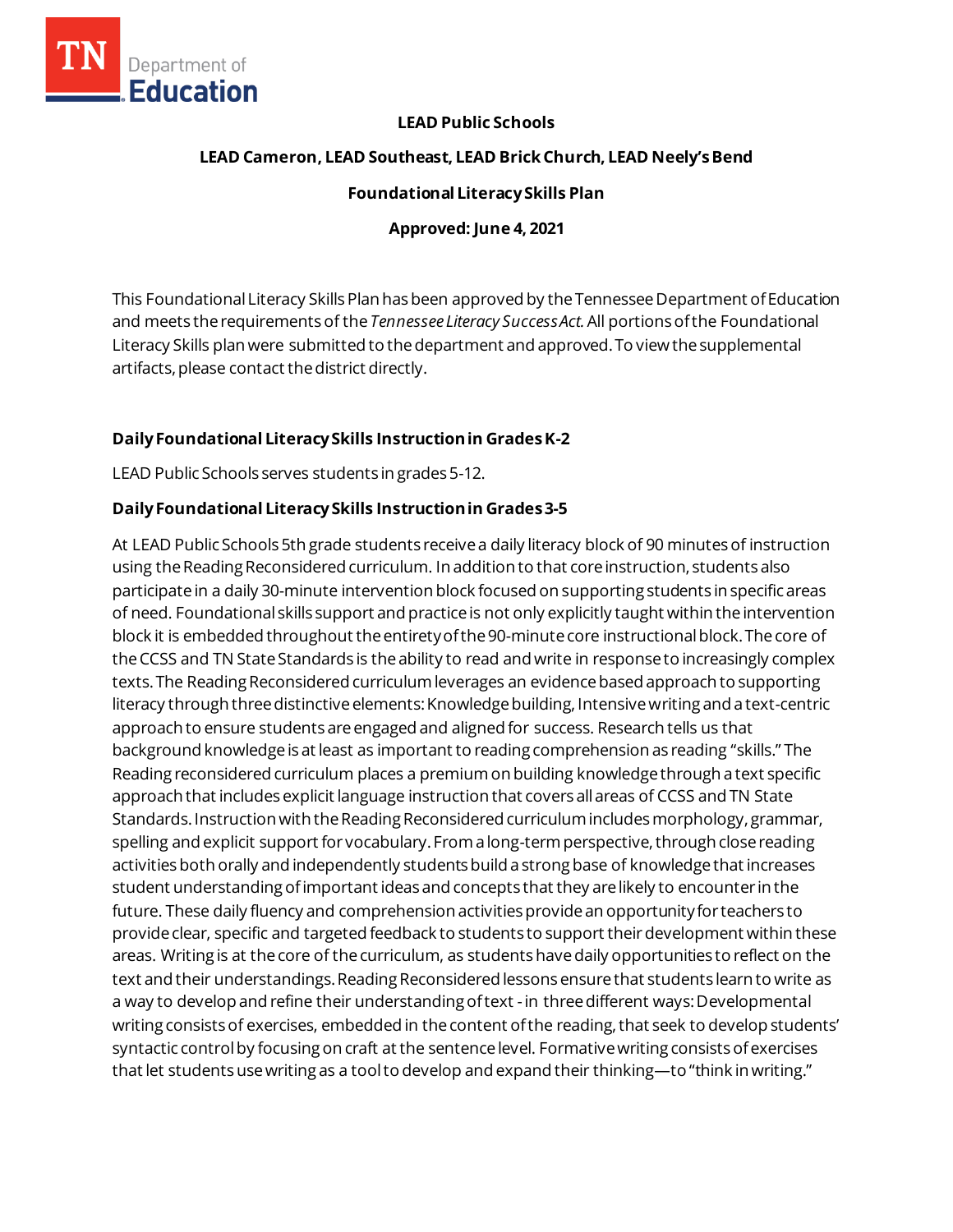

## **LEAD Public Schools**

### **LEAD Cameron, LEAD Southeast, LEAD Brick Church, LEAD Neely's Bend**

#### **Foundational Literacy Skills Plan**

#### **Approved: June 4, 2021**

This Foundational Literacy Skills Plan has been approved by the Tennessee Department of Education and meets the requirementsof the *Tennessee Literacy Success Act.*All portionsofthe Foundational Literacy Skills plan were submitted to the department and approved. To view the supplemental artifacts, please contact the district directly.

## **Daily Foundational Literacy Skills Instructionin GradesK-2**

LEAD Public Schools serves students in grades 5-12.

## **Daily Foundational Literacy Skills Instruction in Grades 3-5**

At LEAD Public Schools 5th grade students receive a daily literacy block of 90 minutes of instruction using the Reading Reconsidered curriculum. In addition to that core instruction, students also participate in a daily 30-minute intervention block focused on supporting students in specific areas of need. Foundational skills support and practice is not only explicitly taught within the intervention block it is embedded throughout the entirety of the 90-minute core instructional block. The core of the CCSS and TN State Standards is the ability to read and write in response to increasingly complex texts. The Reading Reconsidered curriculum leverages an evidence based approach to supporting literacy through three distinctive elements: Knowledge building, Intensive writing and a text-centric approach to ensure students are engaged and aligned for success. Research tells us that background knowledge is at least as important to reading comprehension as reading "skills." The Reading reconsidered curriculum places a premium on building knowledge through a text specific approach that includes explicit language instruction that covers all areas of CCSS and TN State Standards. Instruction with the Reading Reconsidered curriculum includes morphology, grammar, spelling and explicit support for vocabulary. From a long-term perspective, through close reading activities both orally and independently students build a strong base of knowledge that increases student understanding of important ideas and concepts that they are likely to encounter in the future. These daily fluency and comprehension activities provide an opportunity for teachers to provide clear, specific and targeted feedback to students to support their development within these areas. Writing is at the core of the curriculum, as students have daily opportunities to reflect on the text and their understandings. Reading Reconsidered lessons ensure that students learn to write as a way to develop and refine their understanding of text -in three different ways: Developmental writing consists of exercises, embedded in the content of the reading, that seek to develop students' syntactic control by focusing on craft at the sentence level. Formative writing consists of exercises that let students use writing as a tool to develop and expand their thinking—to "think in writing."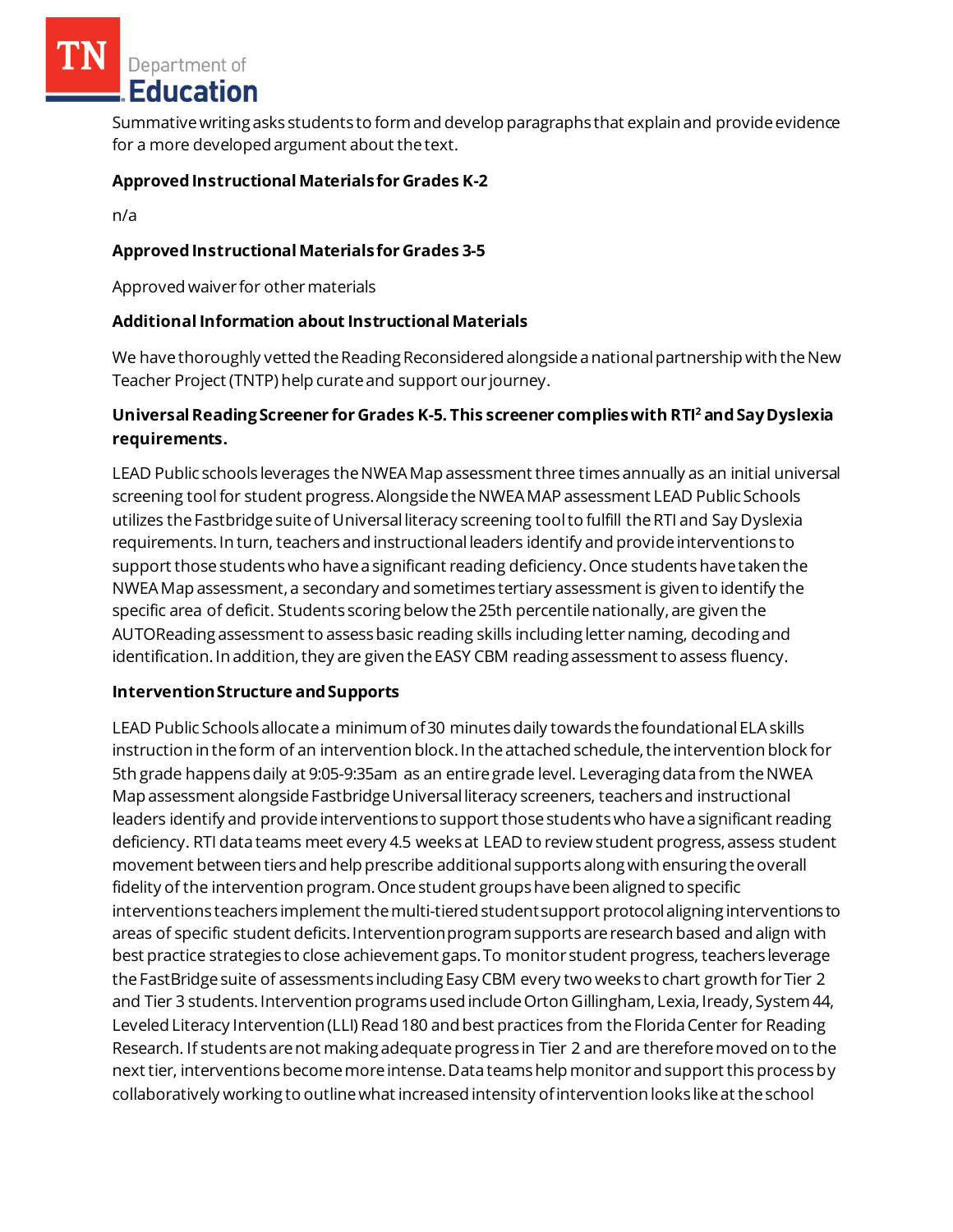Department of Education

Summative writing asks students to form and develop paragraphs that explain and provide evidence for a more developed argument about the text.

## **Approved Instructional Materialsfor Grades K-2**

n/a

# **Approved Instructional Materials for Grades 3-5**

Approved waiver for other materials

## **AdditionalInformation about Instructional Materials**

We have thoroughly vetted the Reading Reconsidered alongside a national partnership with the New Teacher Project (TNTP) help curate and support our journey.

# **Universal Reading Screener for Grades K-5. This screener complies with RTI<sup>2</sup>and Say Dyslexia requirements.**

LEAD Public schools leverages the NWEA Map assessment three times annually as an initial universal screening toolfor student progress. Alongside the NWEA MAP assessment LEAD Public Schools utilizes the Fastbridge suite of Universal literacy screening tool to fulfill the RTI and Say Dyslexia requirements. In turn, teachers and instructional leaders identify and provide interventions to support those students who have a significant reading deficiency. Once students have taken the NWEA Map assessment, a secondary and sometimes tertiary assessment is given to identify the specific area of deficit. Students scoring below the 25th percentile nationally, are given the AUTOReading assessment to assess basic reading skills including letter naming, decoding and identification. In addition, they are given the EASY CBM reading assessment to assess fluency.

#### **Intervention Structure and Supports**

LEAD Public Schools allocate a minimum of 30 minutes daily towards the foundational ELA skills instruction in the form of an intervention block. In the attached schedule, the intervention block for 5th grade happens daily at 9:05-9:35am as an entire grade level. Leveraging data from the NWEA Map assessment alongside Fastbridge Universal literacy screeners, teachers and instructional leaders identify and provide interventions to support those students who have a significant reading deficiency. RTI data teams meet every 4.5 weeks at LEAD to review student progress, assess student movement between tiers and help prescribe additional supports along with ensuring the overall fidelity of the intervention program. Once student groups have been aligned to specific interventions teachers implement the multi-tiered student support protocol aligning interventions to areas of specific student deficits. Intervention program supports are research based and align with best practice strategies to close achievement gaps. To monitor student progress, teachers leverage the FastBridge suite of assessments including Easy CBM every two weeks to chart growth for Tier 2 and Tier 3 students. Intervention programs used include Orton Gillingham, Lexia, Iready, System 44, Leveled Literacy Intervention (LLI) Read 180 and best practices from the Florida Center for Reading Research. If students are not making adequate progress in Tier 2 and are therefore moved on to the next tier, interventions become more intense. Data teams help monitor and support this process by collaboratively working to outline what increased intensity of intervention looks like at the school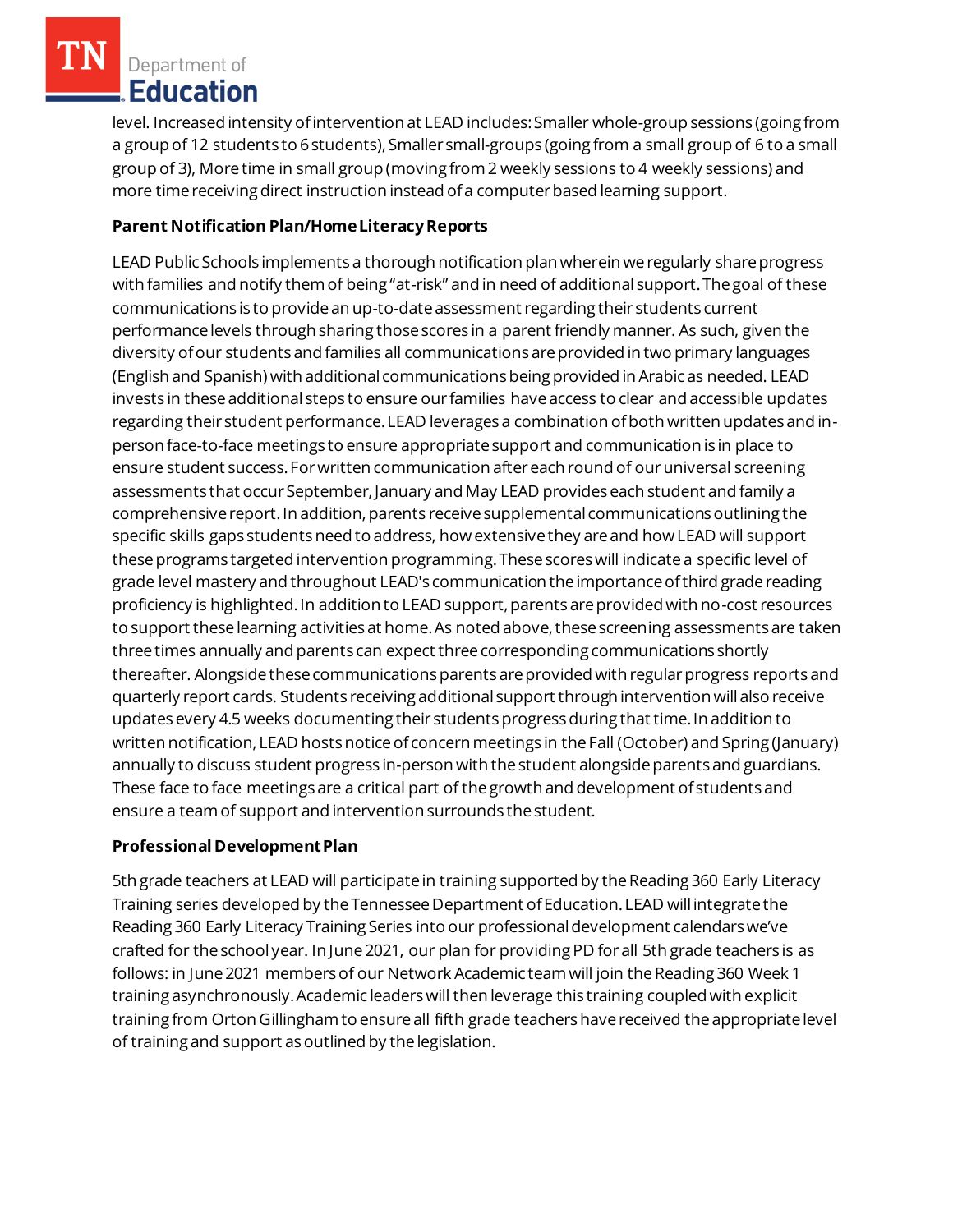Department of Education

level. Increased intensity of intervention at LEAD includes: Smaller whole-group sessions (going from a group of 12 students to 6 students), Smaller small-groups (going from a small group of 6 to a small group of 3), More time in small group (moving from 2 weekly sessions to 4 weekly sessions) and more time receiving direct instruction instead of a computer based learning support.

# **Parent Notification Plan/HomeLiteracyReports**

LEAD Public Schools implements a thorough notification plan wherein we regularly share progress with families and notify them of being "at-risk" and in need of additional support. The goal of these communications is to provide an up-to-date assessment regarding their students current performance levels through sharing those scores in a parent friendly manner. As such, given the diversity of our students and families all communications are provided in two primary languages (English and Spanish) with additional communications being provided in Arabic as needed. LEAD invests in these additional steps to ensure our families have access to clear and accessible updates regarding their student performance. LEAD leverages a combination of both written updates and inperson face-to-face meetings to ensure appropriate support and communication is in place to ensure student success. For written communication after each round of our universal screening assessments that occur September, January and May LEAD provides each student and family a comprehensive report. In addition, parents receive supplemental communications outlining the specific skills gaps students need to address, how extensive they are and how LEAD will support these programs targeted intervention programming. These scores will indicate a specific level of grade level mastery and throughout LEAD's communication the importance of third grade reading proficiency is highlighted. In addition to LEAD support, parents are provided with no-cost resources to support these learning activities at home. As noted above, these screening assessments are taken three times annually and parents can expect three corresponding communications shortly thereafter. Alongside these communications parents are provided with regular progress reports and quarterly report cards. Students receiving additional support through intervention will also receive updates every 4.5 weeks documenting their students progress during that time. In addition to written notification, LEAD hosts notice of concern meetings in the Fall (October) and Spring (January) annually to discuss student progress in-person with the student alongside parents and guardians. These face to face meetings are a critical part of the growth and development of students and ensure a team of support and intervention surrounds the student.

# **Professional Development Plan**

5th grade teachers at LEAD will participate in training supported by the Reading 360 Early Literacy Training series developed by the Tennessee Department of Education. LEAD will integrate the Reading 360 Early Literacy Training Series into our professional development calendars we've crafted for the school year. In June 2021, our plan for providing PD for all 5th grade teachers is as follows: in June 2021 members of our Network Academic team will join the Reading 360 Week 1 training asynchronously. Academic leaders will then leverage this training coupled with explicit training from Orton Gillingham to ensure all fifth grade teachers have received the appropriate level of training and support as outlined by the legislation.